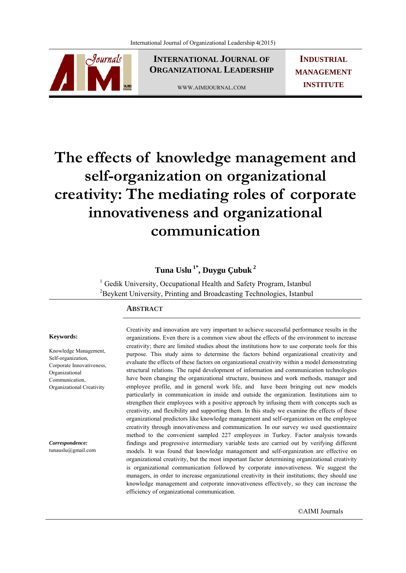

**INTERNATIONAL JOURNAL OF ORGANIZATIONAL LEADERSHIP**

WWW.AIMIJOURNAL.COM

**INDUSTRIAL MANAGEMENT INSTITUTE**

# **The effects of knowledge management and self-organization on organizational creativity: The mediating roles of corporate innovativeness and organizational communication**

## **Tuna Uslu 1\*, Duygu Çubuk <sup>2</sup>**

 $1$  Gedik University, Occupational Health and Safety Program, Istanbul <sup>2</sup>Beykent University, Printing and Broadcasting Technologies, Istanbul

#### **ABSTRACT**

#### **Keywords:**

Knowledge Management, Self-organization, Corporate Innovativeness, Organizational Communication, Organizational Creativity

*Correspondence:*  tunauslu@gmail.com Creativity and innovation are very important to achieve successful performance results in the organizations. Even there is a common view about the effects of the environment to increase creativity; there are limited studies about the institutions how to use corporate tools for this purpose. This study aims to determine the factors behind organizational creativity and evaluate the effects of these factors on organizational creativity within a model demonstrating structural relations. The rapid development of information and communication technologies have been changing the organizational structure, business and work methods, manager and employee profile, and in general work life, and have been bringing out new models particularly in communication in inside and outside the organization. Institutions aim to strengthen their employees with a positive approach by infusing them with concepts such as creativity, and flexibility and supporting them. In this study we examine the effects of these organizational predictors like knowledge management and self-organization on the employee creativity through innovativeness and communication. In our survey we used questionnaire method to the convenient sampled 227 employees in Turkey. Factor analysis towards findings and progressive intermediary variable tests are carried out by verifying different models. It was found that knowledge management and self-organization are effective on organizational creativity, but the most important factor determining organizational creativity is organizational communication followed by corporate innovativeness. We suggest the managers, in order to increase organizational creativity in their institutions; they should use knowledge management and corporate innovativeness effectively, so they can increase the efficiency of organizational communication.

©AIMI Journals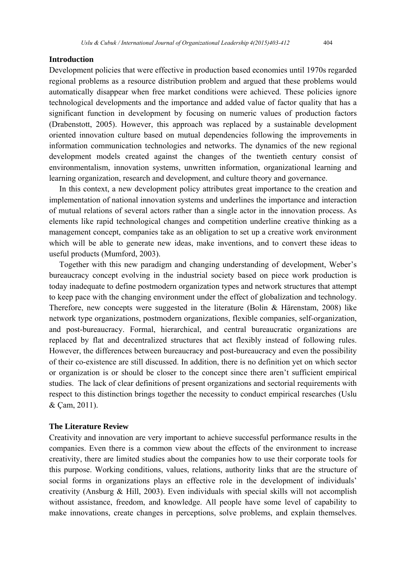#### **Introduction**

Development policies that were effective in production based economies until 1970s regarded regional problems as a resource distribution problem and argued that these problems would automatically disappear when free market conditions were achieved. These policies ignore technological developments and the importance and added value of factor quality that has a significant function in development by focusing on numeric values of production factors (Drabenstott, 2005). However, this approach was replaced by a sustainable development oriented innovation culture based on mutual dependencies following the improvements in information communication technologies and networks. The dynamics of the new regional development models created against the changes of the twentieth century consist of environmentalism, innovation systems, unwritten information, organizational learning and learning organization, research and development, and culture theory and governance.

 In this context, a new development policy attributes great importance to the creation and implementation of national innovation systems and underlines the importance and interaction of mutual relations of several actors rather than a single actor in the innovation process. As elements like rapid technological changes and competition underline creative thinking as a management concept, companies take as an obligation to set up a creative work environment which will be able to generate new ideas, make inventions, and to convert these ideas to useful products (Mumford, 2003).

 Together with this new paradigm and changing understanding of development, Weber's bureaucracy concept evolving in the industrial society based on piece work production is today inadequate to define postmodern organization types and network structures that attempt to keep pace with the changing environment under the effect of globalization and technology. Therefore, new concepts were suggested in the literature (Bolin & Härenstam, 2008) like network type organizations, postmodern organizations, flexible companies, self-organization, and post-bureaucracy. Formal, hierarchical, and central bureaucratic organizations are replaced by flat and decentralized structures that act flexibly instead of following rules. However, the differences between bureaucracy and post-bureaucracy and even the possibility of their co-existence are still discussed. In addition, there is no definition yet on which sector or organization is or should be closer to the concept since there aren't sufficient empirical studies. The lack of clear definitions of present organizations and sectorial requirements with respect to this distinction brings together the necessity to conduct empirical researches (Uslu & Çam, 2011).

#### **The Literature Review**

Creativity and innovation are very important to achieve successful performance results in the companies. Even there is a common view about the effects of the environment to increase creativity, there are limited studies about the companies how to use their corporate tools for this purpose. Working conditions, values, relations, authority links that are the structure of social forms in organizations plays an effective role in the development of individuals' creativity (Ansburg & Hill, 2003). Even individuals with special skills will not accomplish without assistance, freedom, and knowledge. All people have some level of capability to make innovations, create changes in perceptions, solve problems, and explain themselves.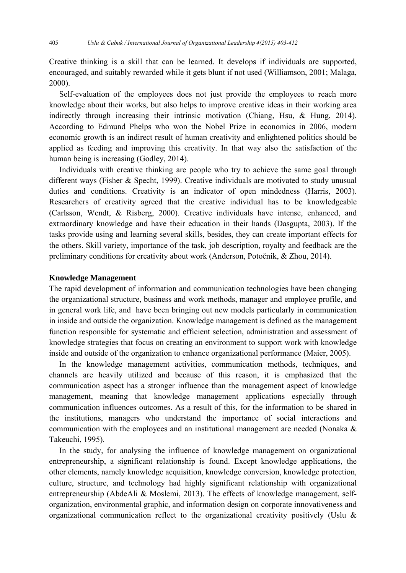Creative thinking is a skill that can be learned. It develops if individuals are supported, encouraged, and suitably rewarded while it gets blunt if not used (Williamson, 2001; Malaga, 2000).

 Self-evaluation of the employees does not just provide the employees to reach more knowledge about their works, but also helps to improve creative ideas in their working area indirectly through increasing their intrinsic motivation (Chiang, Hsu, & Hung, 2014). According to Edmund Phelps who won the Nobel Prize in economics in 2006, modern economic growth is an indirect result of human creativity and enlightened politics should be applied as feeding and improving this creativity. In that way also the satisfaction of the human being is increasing (Godley, 2014).

 Individuals with creative thinking are people who try to achieve the same goal through different ways (Fisher & Specht, 1999). Creative individuals are motivated to study unusual duties and conditions. Creativity is an indicator of open mindedness (Harris, 2003). Researchers of creativity agreed that the creative individual has to be knowledgeable (Carlsson, Wendt, & Risberg, 2000). Creative individuals have intense, enhanced, and extraordinary knowledge and have their education in their hands (Dasgupta, 2003). If the tasks provide using and learning several skills, besides, they can create important effects for the others. Skill variety, importance of the task, job description, royalty and feedback are the preliminary conditions for creativity about work (Anderson, Potočnik, & Zhou, 2014).

#### **Knowledge Management**

The rapid development of information and communication technologies have been changing the organizational structure, business and work methods, manager and employee profile, and in general work life, and have been bringing out new models particularly in communication in inside and outside the organization. Knowledge management is defined as the management function responsible for systematic and efficient selection, administration and assessment of knowledge strategies that focus on creating an environment to support work with knowledge inside and outside of the organization to enhance organizational performance (Maier, 2005).

 In the knowledge management activities, communication methods, techniques, and channels are heavily utilized and because of this reason, it is emphasized that the communication aspect has a stronger influence than the management aspect of knowledge management, meaning that knowledge management applications especially through communication influences outcomes. As a result of this, for the information to be shared in the institutions, managers who understand the importance of social interactions and communication with the employees and an institutional management are needed (Nonaka & Takeuchi, 1995).

 In the study, for analysing the influence of knowledge management on organizational entrepreneurship, a significant relationship is found. Except knowledge applications, the other elements, namely knowledge acquisition, knowledge conversion, knowledge protection, culture, structure, and technology had highly significant relationship with organizational entrepreneurship (AbdeAli & Moslemi, 2013). The effects of knowledge management, selforganization, environmental graphic, and information design on corporate innovativeness and organizational communication reflect to the organizational creativity positively (Uslu &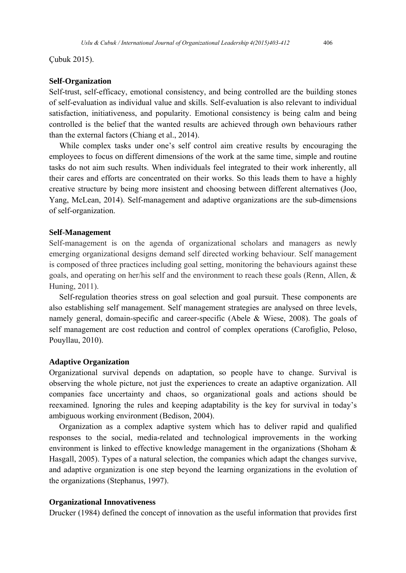Çubuk 2015).

#### **Self-Organization**

Self-trust, self-efficacy, emotional consistency, and being controlled are the building stones of self-evaluation as individual value and skills. Self-evaluation is also relevant to individual satisfaction, initiativeness, and popularity. Emotional consistency is being calm and being controlled is the belief that the wanted results are achieved through own behaviours rather than the external factors (Chiang et al., 2014).

 While complex tasks under one's self control aim creative results by encouraging the employees to focus on different dimensions of the work at the same time, simple and routine tasks do not aim such results. When individuals feel integrated to their work inherently, all their cares and efforts are concentrated on their works. So this leads them to have a highly creative structure by being more insistent and choosing between different alternatives (Joo, Yang, McLean, 2014). Self-management and adaptive organizations are the sub-dimensions of self-organization.

#### **Self-Management**

Self-management is on the agenda of organizational scholars and managers as newly emerging organizational designs demand self directed working behaviour. Self management is composed of three practices including goal setting, monitoring the behaviours against these goals, and operating on her/his self and the environment to reach these goals (Renn, Allen, & Huning, 2011).

 Self-regulation theories stress on goal selection and goal pursuit. These components are also establishing self management. Self management strategies are analysed on three levels, namely general, domain-specific and career-specific (Abele & Wiese, 2008). The goals of self management are cost reduction and control of complex operations (Carofiglio, Peloso, Pouyllau, 2010).

#### **Adaptive Organization**

Organizational survival depends on adaptation, so people have to change. Survival is observing the whole picture, not just the experiences to create an adaptive organization. All companies face uncertainty and chaos, so organizational goals and actions should be reexamined. Ignoring the rules and keeping adaptability is the key for survival in today's ambiguous working environment (Bedison, 2004).

 Organization as a complex adaptive system which has to deliver rapid and qualified responses to the social, media-related and technological improvements in the working environment is linked to effective knowledge management in the organizations (Shoham & Hasgall, 2005). Types of a natural selection, the companies which adapt the changes survive, and adaptive organization is one step beyond the learning organizations in the evolution of the organizations (Stephanus, 1997).

#### **Organizational Innovativeness**

Drucker (1984) defined the concept of innovation as the useful information that provides first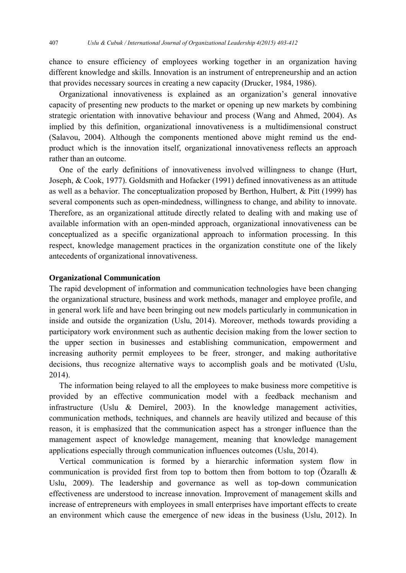chance to ensure efficiency of employees working together in an organization having different knowledge and skills. Innovation is an instrument of entrepreneurship and an action that provides necessary sources in creating a new capacity (Drucker, 1984, 1986).

 Organizational innovativeness is explained as an organization's general innovative capacity of presenting new products to the market or opening up new markets by combining strategic orientation with innovative behaviour and process (Wang and Ahmed, 2004). As implied by this definition, organizational innovativeness is a multidimensional construct (Salavou, 2004). Although the components mentioned above might remind us the endproduct which is the innovation itself, organizational innovativeness reflects an approach rather than an outcome.

 One of the early definitions of innovativeness involved willingness to change (Hurt, Joseph, & Cook, 1977). Goldsmith and Hofacker (1991) defined innovativeness as an attitude as well as a behavior. The conceptualization proposed by Berthon, Hulbert, & Pitt (1999) has several components such as open-mindedness, willingness to change, and ability to innovate. Therefore, as an organizational attitude directly related to dealing with and making use of available information with an open-minded approach, organizational innovativeness can be conceptualized as a specific organizational approach to information processing. In this respect, knowledge management practices in the organization constitute one of the likely antecedents of organizational innovativeness.

#### **Organizational Communication**

The rapid development of information and communication technologies have been changing the organizational structure, business and work methods, manager and employee profile, and in general work life and have been bringing out new models particularly in communication in inside and outside the organization (Uslu, 2014). Moreover, methods towards providing a participatory work environment such as authentic decision making from the lower section to the upper section in businesses and establishing communication, empowerment and increasing authority permit employees to be freer, stronger, and making authoritative decisions, thus recognize alternative ways to accomplish goals and be motivated (Uslu, 2014).

 The information being relayed to all the employees to make business more competitive is provided by an effective communication model with a feedback mechanism and infrastructure (Uslu & Demirel, 2003). In the knowledge management activities, communication methods, techniques, and channels are heavily utilized and because of this reason, it is emphasized that the communication aspect has a stronger influence than the management aspect of knowledge management, meaning that knowledge management applications especially through communication influences outcomes (Uslu, 2014).

 Vertical communication is formed by a hierarchic information system flow in communication is provided first from top to bottom then from bottom to top (Özarallı & Uslu, 2009). The leadership and governance as well as top-down communication effectiveness are understood to increase innovation. Improvement of management skills and increase of entrepreneurs with employees in small enterprises have important effects to create an environment which cause the emergence of new ideas in the business (Uslu, 2012). In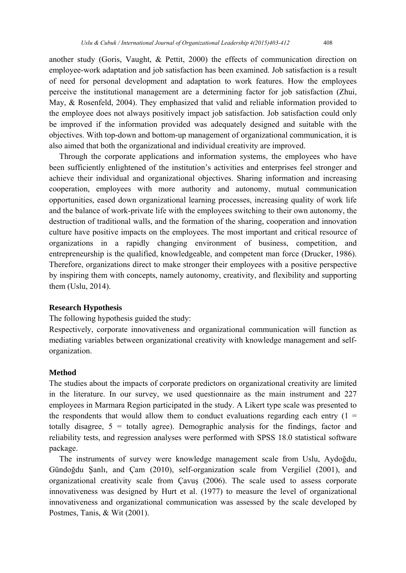another study (Goris, Vaught, & Pettit, 2000) the effects of communication direction on employee-work adaptation and job satisfaction has been examined. Job satisfaction is a result of need for personal development and adaptation to work features. How the employees perceive the institutional management are a determining factor for job satisfaction (Zhui, May, & Rosenfeld, 2004). They emphasized that valid and reliable information provided to the employee does not always positively impact job satisfaction. Job satisfaction could only be improved if the information provided was adequately designed and suitable with the objectives. With top-down and bottom-up management of organizational communication, it is also aimed that both the organizational and individual creativity are improved.

 Through the corporate applications and information systems, the employees who have been sufficiently enlightened of the institution's activities and enterprises feel stronger and achieve their individual and organizational objectives. Sharing information and increasing cooperation, employees with more authority and autonomy, mutual communication opportunities, eased down organizational learning processes, increasing quality of work life and the balance of work-private life with the employees switching to their own autonomy, the destruction of traditional walls, and the formation of the sharing, cooperation and innovation culture have positive impacts on the employees. The most important and critical resource of organizations in a rapidly changing environment of business, competition, and entrepreneurship is the qualified, knowledgeable, and competent man force (Drucker, 1986). Therefore, organizations direct to make stronger their employees with a positive perspective by inspiring them with concepts, namely autonomy, creativity, and flexibility and supporting them (Uslu, 2014).

#### **Research Hypothesis**

The following hypothesis guided the study:

Respectively, corporate innovativeness and organizational communication will function as mediating variables between organizational creativity with knowledge management and selforganization.

#### **Method**

The studies about the impacts of corporate predictors on organizational creativity are limited in the literature. In our survey, we used questionnaire as the main instrument and 227 employees in Marmara Region participated in the study. A Likert type scale was presented to the respondents that would allow them to conduct evaluations regarding each entry  $(1 =$ totally disagree,  $5 =$  totally agree). Demographic analysis for the findings, factor and reliability tests, and regression analyses were performed with SPSS 18.0 statistical software package.

 The instruments of survey were knowledge management scale from Uslu, Aydoğdu, Gündoğdu Şanlı, and Çam (2010), self-organization scale from Vergiliel (2001), and organizational creativity scale from Çavuş (2006). The scale used to assess corporate innovativeness was designed by Hurt et al. (1977) to measure the level of organizational innovativeness and organizational communication was assessed by the scale developed by Postmes, Tanis, & Wit (2001).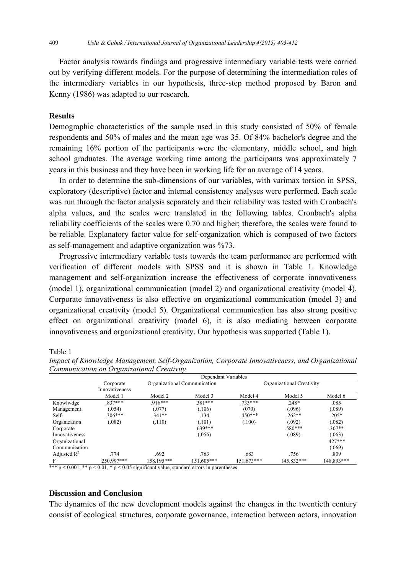Factor analysis towards findings and progressive intermediary variable tests were carried out by verifying different models. For the purpose of determining the intermediation roles of the intermediary variables in our hypothesis, three-step method proposed by Baron and Kenny (1986) was adapted to our research.

### **Results**

Demographic characteristics of the sample used in this study consisted of 50% of female respondents and 50% of males and the mean age was 35. Of 84% bachelor's degree and the remaining 16% portion of the participants were the elementary, middle school, and high school graduates. The average working time among the participants was approximately 7 years in this business and they have been in working life for an average of 14 years.

 In order to determine the sub-dimensions of our variables, with varimax torsion in SPSS, exploratory (descriptive) factor and internal consistency analyses were performed. Each scale was run through the factor analysis separately and their reliability was tested with Cronbach's alpha values, and the scales were translated in the following tables. Cronbach's alpha reliability coefficients of the scales were 0.70 and higher; therefore, the scales were found to be reliable. Explanatory factor value for self-organization which is composed of two factors as self-management and adaptive organization was %73.

 Progressive intermediary variable tests towards the team performance are performed with verification of different models with SPSS and it is shown in Table 1. Knowledge management and self-organization increase the effectiveness of corporate innovativeness (model 1), organizational communication (model 2) and organizational creativity (model 4). Corporate innovativeness is also effective on organizational communication (model 3) and organizational creativity (model 5). Organizational communication has also strong positive effect on organizational creativity (model 6), it is also mediating between corporate innovativeness and organizational creativity. Our hypothesis was supported (Table 1).

Table 1

|                | Dependant Variables |                              |            |                           |            |            |
|----------------|---------------------|------------------------------|------------|---------------------------|------------|------------|
|                | Corporate           | Organizational Communication |            | Organizational Creativity |            |            |
|                | Innovativeness      |                              |            |                           |            |            |
|                | Model 1             | Model 2                      | Model 3    | Model 4                   | Model 5    | Model 6    |
| Knowlwdge      | $837***$            | $.916***$                    | 381***     | 733 ***                   | $.248*$    | .085       |
| Management     | (054)               | (.077)                       | (.106)     | (070)                     | (.096)     | (0.089)    |
| Self-          | $.306***$           | $.341**$                     | .134       | $.450***$                 | $.262**$   | $.205*$    |
| Organization   | .082)               | (.110)                       | (.101)     | (.100)                    | (.092)     | (.082)     |
| Corporate      |                     |                              | $.639***$  |                           | $.580***$  | $.307**$   |
| Innovativeness |                     |                              | (.056)     |                           | (.089)     | (.063)     |
| Organizational |                     |                              |            |                           |            | $.427***$  |
| Communication  |                     |                              |            |                           |            | (.069)     |
| Adjusted $R^2$ | .774                | .692                         | .763       | .683                      | .756       | .809       |
|                | 250.997***          | 158,195***                   | 151.605*** | 151.673***                | 145.832*** | 148,893*** |

*Impact of Knowledge Management, Self-Organization, Corporate Innovativeness, and Organizational Communication on Organizational Creativity* 

\*\*\*  $p < 0.001$ , \*\*  $p < 0.01$ , \*  $p < 0.05$  significant value, standard errors in parentheses

#### **Discussion and Conclusion**

The dynamics of the new development models against the changes in the twentieth century consist of ecological structures, corporate governance, interaction between actors, innovation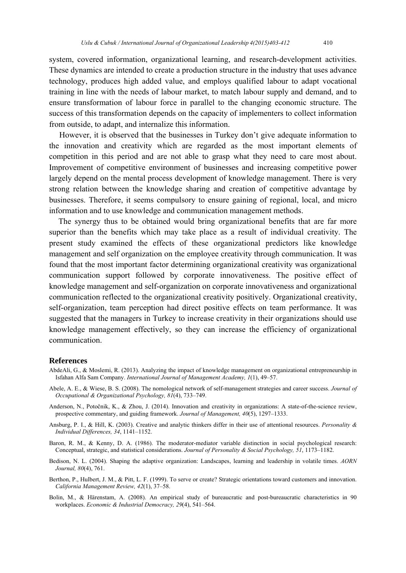system, covered information, organizational learning, and research-development activities. These dynamics are intended to create a production structure in the industry that uses advance technology, produces high added value, and employs qualified labour to adapt vocational training in line with the needs of labour market, to match labour supply and demand, and to ensure transformation of labour force in parallel to the changing economic structure. The success of this transformation depends on the capacity of implementers to collect information from outside, to adapt, and internalize this information.

 However, it is observed that the businesses in Turkey don't give adequate information to the innovation and creativity which are regarded as the most important elements of competition in this period and are not able to grasp what they need to care most about. Improvement of competitive environment of businesses and increasing competitive power largely depend on the mental process development of knowledge management. There is very strong relation between the knowledge sharing and creation of competitive advantage by businesses. Therefore, it seems compulsory to ensure gaining of regional, local, and micro information and to use knowledge and communication management methods.

 The synergy thus to be obtained would bring organizational benefits that are far more superior than the benefits which may take place as a result of individual creativity. The present study examined the effects of these organizational predictors like knowledge management and self organization on the employee creativity through communication. It was found that the most important factor determining organizational creativity was organizational communication support followed by corporate innovativeness. The positive effect of knowledge management and self-organization on corporate innovativeness and organizational communication reflected to the organizational creativity positively. Organizational creativity, self-organization, team perception had direct positive effects on team performance. It was suggested that the managers in Turkey to increase creativity in their organizations should use knowledge management effectively, so they can increase the efficiency of organizational communication.

#### **References**

- AbdeAli, G., & Moslemi, R. (2013). Analyzing the impact of knowledge management on organizational entrepreneurship in Isfahan Alfa Sam Company. *International Journal of Management Academy, 1*(1), 49–57.
- Abele, A. E., & Wiese, B. S. (2008). The nomological network of self-management strategies and career success. *Journal of Occupational & Organizational Psychology, 81*(4), 733–749.
- Anderson, N., Potočnik, K., & Zhou, J. (2014). Innovation and creativity in organizations: A state-of-the-science review, prospective commentary, and guiding framework. *Journal of Management, 40*(5), 1297–1333.
- Ansburg, P. I., & Hill, K. (2003). Creative and analytic thinkers differ in their use of attentional resources. *Personality & Individual Differences, 34*, 1141–1152.
- Baron, R. M., & Kenny, D. A. (1986). The moderator-mediator variable distinction in social psychological research: Conceptual, strategic, and statistical considerations. *Journal of Personality & Social Psychology, 51*, 1173–1182.
- Bedison, N. L. (2004). Shaping the adaptive organization: Landscapes, learning and leadership in volatile times. *AORN Journal, 80*(4), 761.
- Berthon, P., Hulbert, J. M., & Pitt, L. F. (1999). To serve or create? Strategic orientations toward customers and innovation. *California Management Review, 42*(1), 37–58.
- Bolin, M., & Härenstam, A. (2008). An empirical study of bureaucratic and post-bureaucratic characteristics in 90 workplaces. *Economic & Industrial Democracy, 29*(4), 541–564.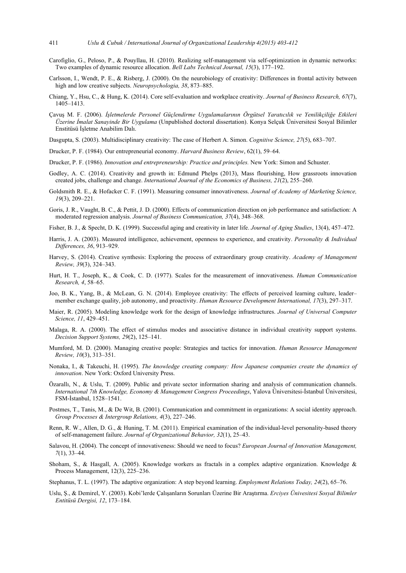- Carofiglio, G., Peloso, P., & Pouyllau, H. (2010). Realizing self-management via self-optimization in dynamic networks: Two examples of dynamic resource allocation. *Bell Labs Technical Journal, 15*(3), 177–192.
- Carlsson, I., Wendt, P. E., & Risberg, J. (2000). On the neurobiology of creativity: Differences in frontal activity between high and low creative subjects. *Neuropsychologia, 38*, 873–885.
- Chiang, Y., Hsu, C., & Hung, K. (2014). Core self-evaluation and workplace creativity. *Journal of Business Research, 67*(7), 1405–1413.
- Çavuş M. F. (2006). *İşletmelerde Personel Güçlendirme Uygulamalarının Örgütsel Yaratıcılık ve Yenilikçiliğe Etkileri Üzerine İmalat Sanayinde Bir Uygulama* (Unpublished doctoral dissertation). Konya Selçuk Üniversitesi Sosyal Bilimler Enstitüsü İşletme Anabilim Dalı.
- Dasgupta, S. (2003). Multidisciplinary creativity: The case of Herbert A. Simon. *Cognitive Science, 27*(5), 683–707.
- Drucker, P. F. (1984). Our entrepreneurial economy. *Harvard Business Review*, 62(1), 59–64.
- Drucker, P. F. (1986). *Innovation and entrepreneurship: Practice and principles.* New York: Simon and Schuster.
- Godley, A. C. (2014). Creativity and growth in: Edmund Phelps (2013), Mass flourishing, How grassroots innovation created jobs, challenge and change. *International Journal of the Economics of Business, 21*(2), 255–260.
- Goldsmith R. E., & Hofacker C. F. (1991). Measuring consumer innovativeness. *Journal of Academy of Marketing Science, 19*(3), 209–221.
- Goris, J. R., Vaught, B. C., & Pettit, J. D. (2000). Effects of communication direction on job performance and satisfaction: A moderated regression analysis. *Journal of Business Communication, 37*(4), 348–368.
- Fisher, B. J., & Specht, D. K. (1999). Successful aging and creativity in later life. *Journal of Aging Studies*, 13(4), 457–472.
- Harris, J. A. (2003). Measured intelligence, achievement, openness to experience, and creativity. *Personality & Individual Differences, 36*, 913–929.
- Harvey, S. (2014). Creative synthesis: Exploring the process of extraordinary group creativity. *Academy of Management Review, 39*(3), 324–343.
- Hurt, H. T., Joseph, K., & Cook, C. D. (1977). Scales for the measurement of innovativeness. *Human Communication Research, 4*, 58–65.
- Joo, B. K., Yang, B., & McLean, G. N. (2014). Employee creativity: The effects of perceived learning culture, leader– member exchange quality, job autonomy, and proactivity. *Human Resource Development International, 17*(3), 297–317.
- Maier, R. (2005). Modeling knowledge work for the design of knowledge infrastructures. *Journal of Universal Computer Science, 11*, 429–451.
- Malaga, R. A. (2000). The effect of stimulus modes and associative distance in individual creativity support systems. *Decision Support Systems, 29*(2), 125–141.
- Mumford, M. D. (2000). Managing creative people: Strategies and tactics for innovation. *Human Resource Management Review, 10*(3), 313–351.
- Nonaka, I., & Takeuchi, H. (1995). *The knowledge creating company: How Japanese companies create the dynamics of innovation*. New York: Oxford University Press.
- Özarallı, N., & Uslu, T. (2009). Public and private sector information sharing and analysis of communication channels. *International 7th Knowledge, Economy & Management Congress Proceedings*, Yalova Üniversitesi-İstanbul Üniversitesi, FSM-İstanbul, 1528–1541.
- Postmes, T., Tanis, M., & De Wit, B. (2001). Communication and commitment in organizations: A social identity approach. *Group Processes & Intergroup Relations, 4*(3), 227–246.
- Renn, R. W., Allen, D. G., & Huning, T. M. (2011). Empirical examination of the individual-level personality-based theory of self-management failure. *Journal of Organizational Behavior, 32*(1), 25–43.
- Salavou, H. (2004). The concept of innovativeness: Should we need to focus? *European Journal of Innovation Management, 7*(1), 33–44.
- Shoham, S., & Hasgall, A. (2005). Knowledge workers as fractals in a complex adaptive organization. Knowledge & Process Management, 12(3), 225–236.
- Stephanus, T. L. (1997). The adaptive organization: A step beyond learning. *Employment Relations Today, 24*(2), 65–76.
- Uslu, Ş., & Demirel, Y. (2003). Kobi'lerde Çalışanların Sorunları Üzerine Bir Araştırma. *Erciyes Ünivesitesi Sosyal Bilimler Entitüsü Dergisi, 12*, 173–184.